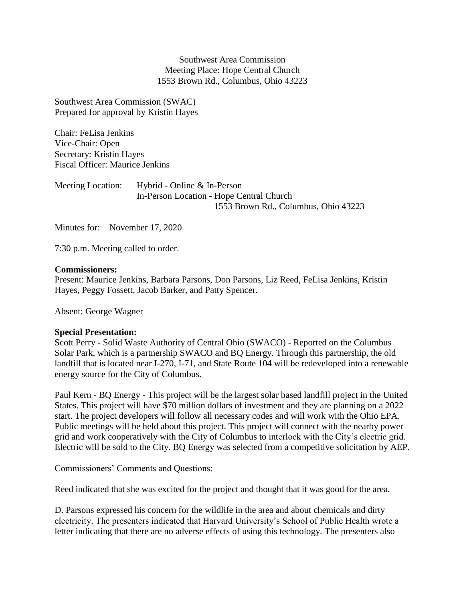Southwest Area Commission Meeting Place: Hope Central Church 1553 Brown Rd., Columbus, Ohio 43223

Southwest Area Commission (SWAC) Prepared for approval by Kristin Hayes

Chair: FeLisa Jenkins Vice-Chair: Open Secretary: Kristin Hayes Fiscal Officer: Maurice Jenkins

Meeting Location: Hybrid - Online & In-Person In-Person Location - Hope Central Church 1553 Brown Rd., Columbus, Ohio 43223

Minutes for: November 17, 2020

7:30 p.m. Meeting called to order.

### **Commissioners:**

Present: Maurice Jenkins, Barbara Parsons, Don Parsons, Liz Reed, FeLisa Jenkins, Kristin Hayes, Peggy Fossett, Jacob Barker, and Patty Spencer.

Absent: George Wagner

### **Special Presentation:**

Scott Perry - Solid Waste Authority of Central Ohio (SWACO) - Reported on the Columbus Solar Park, which is a partnership SWACO and BQ Energy. Through this partnership, the old landfill that is located near I-270, I-71, and State Route 104 will be redeveloped into a renewable energy source for the City of Columbus.

Paul Kern - BQ Energy - This project will be the largest solar based landfill project in the United States. This project will have \$70 million dollars of investment and they are planning on a 2022 start. The project developers will follow all necessary codes and will work with the Ohio EPA. Public meetings will be held about this project. This project will connect with the nearby power grid and work cooperatively with the City of Columbus to interlock with the City's electric grid. Electric will be sold to the City. BQ Energy was selected from a competitive solicitation by AEP.

Commissioners' Comments and Questions:

Reed indicated that she was excited for the project and thought that it was good for the area.

D. Parsons expressed his concern for the wildlife in the area and about chemicals and dirty electricity. The presenters indicated that Harvard University's School of Public Health wrote a letter indicating that there are no adverse effects of using this technology. The presenters also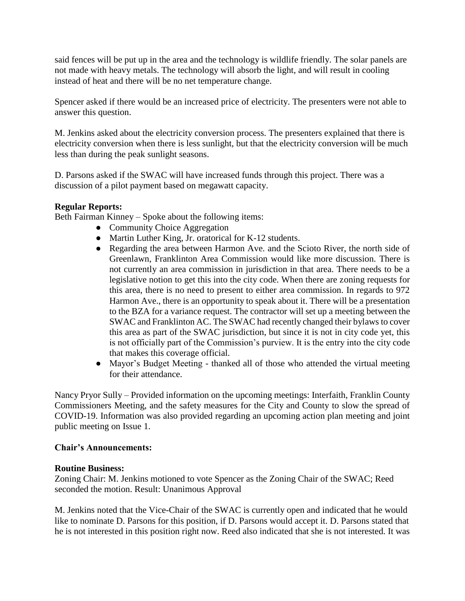said fences will be put up in the area and the technology is wildlife friendly. The solar panels are not made with heavy metals. The technology will absorb the light, and will result in cooling instead of heat and there will be no net temperature change.

Spencer asked if there would be an increased price of electricity. The presenters were not able to answer this question.

M. Jenkins asked about the electricity conversion process. The presenters explained that there is electricity conversion when there is less sunlight, but that the electricity conversion will be much less than during the peak sunlight seasons.

D. Parsons asked if the SWAC will have increased funds through this project. There was a discussion of a pilot payment based on megawatt capacity.

# **Regular Reports:**

Beth Fairman Kinney – Spoke about the following items:

- Community Choice Aggregation
- Martin Luther King, Jr. oratorical for K-12 students.
- Regarding the area between Harmon Ave. and the Scioto River, the north side of Greenlawn, Franklinton Area Commission would like more discussion. There is not currently an area commission in jurisdiction in that area. There needs to be a legislative notion to get this into the city code. When there are zoning requests for this area, there is no need to present to either area commission. In regards to 972 Harmon Ave., there is an opportunity to speak about it. There will be a presentation to the BZA for a variance request. The contractor will set up a meeting between the SWAC and Franklinton AC. The SWAC had recently changed their bylaws to cover this area as part of the SWAC jurisdiction, but since it is not in city code yet, this is not officially part of the Commission's purview. It is the entry into the city code that makes this coverage official.
- Mayor's Budget Meeting thanked all of those who attended the virtual meeting for their attendance.

Nancy Pryor Sully – Provided information on the upcoming meetings: Interfaith, Franklin County Commissioners Meeting, and the safety measures for the City and County to slow the spread of COVID-19. Information was also provided regarding an upcoming action plan meeting and joint public meeting on Issue 1.

## **Chair's Announcements:**

## **Routine Business:**

Zoning Chair: M. Jenkins motioned to vote Spencer as the Zoning Chair of the SWAC; Reed seconded the motion. Result: Unanimous Approval

M. Jenkins noted that the Vice-Chair of the SWAC is currently open and indicated that he would like to nominate D. Parsons for this position, if D. Parsons would accept it. D. Parsons stated that he is not interested in this position right now. Reed also indicated that she is not interested. It was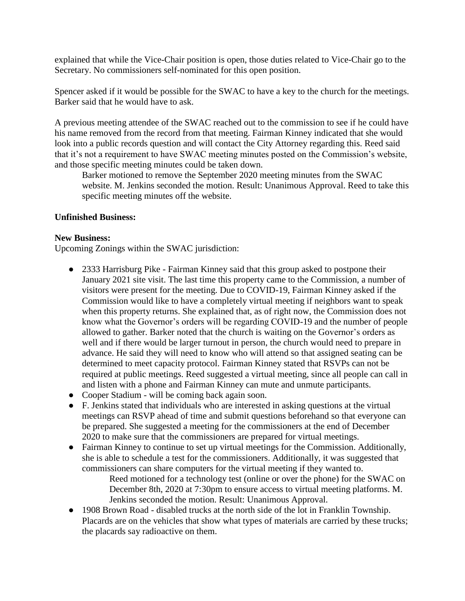explained that while the Vice-Chair position is open, those duties related to Vice-Chair go to the Secretary. No commissioners self-nominated for this open position.

Spencer asked if it would be possible for the SWAC to have a key to the church for the meetings. Barker said that he would have to ask.

A previous meeting attendee of the SWAC reached out to the commission to see if he could have his name removed from the record from that meeting. Fairman Kinney indicated that she would look into a public records question and will contact the City Attorney regarding this. Reed said that it's not a requirement to have SWAC meeting minutes posted on the Commission's website, and those specific meeting minutes could be taken down.

Barker motioned to remove the September 2020 meeting minutes from the SWAC website. M. Jenkins seconded the motion. Result: Unanimous Approval. Reed to take this specific meeting minutes off the website.

# **Unfinished Business:**

## **New Business:**

Upcoming Zonings within the SWAC jurisdiction:

- 2333 Harrisburg Pike Fairman Kinney said that this group asked to postpone their January 2021 site visit. The last time this property came to the Commission, a number of visitors were present for the meeting. Due to COVID-19, Fairman Kinney asked if the Commission would like to have a completely virtual meeting if neighbors want to speak when this property returns. She explained that, as of right now, the Commission does not know what the Governor's orders will be regarding COVID-19 and the number of people allowed to gather. Barker noted that the church is waiting on the Governor's orders as well and if there would be larger turnout in person, the church would need to prepare in advance. He said they will need to know who will attend so that assigned seating can be determined to meet capacity protocol. Fairman Kinney stated that RSVPs can not be required at public meetings. Reed suggested a virtual meeting, since all people can call in and listen with a phone and Fairman Kinney can mute and unmute participants.
- Cooper Stadium will be coming back again soon.
- F. Jenkins stated that individuals who are interested in asking questions at the virtual meetings can RSVP ahead of time and submit questions beforehand so that everyone can be prepared. She suggested a meeting for the commissioners at the end of December 2020 to make sure that the commissioners are prepared for virtual meetings.
- Fairman Kinney to continue to set up virtual meetings for the Commission. Additionally, she is able to schedule a test for the commissioners. Additionally, it was suggested that commissioners can share computers for the virtual meeting if they wanted to. Reed motioned for a technology test (online or over the phone) for the SWAC on

December 8th, 2020 at 7:30pm to ensure access to virtual meeting platforms. M. Jenkins seconded the motion. Result: Unanimous Approval.

● 1908 Brown Road - disabled trucks at the north side of the lot in Franklin Township. Placards are on the vehicles that show what types of materials are carried by these trucks; the placards say radioactive on them.